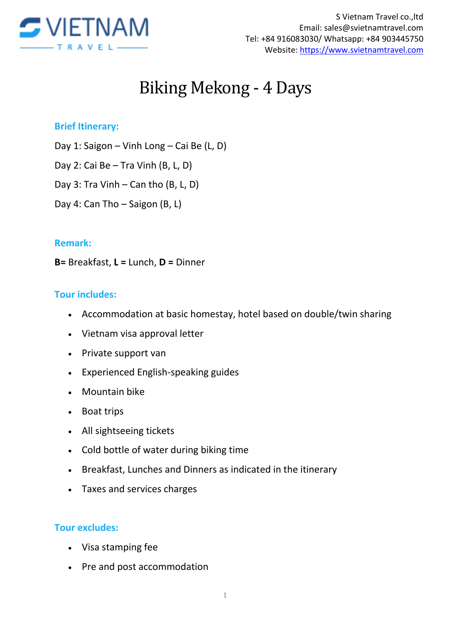

# Biking Mekong - 4 Days

#### **Brief Itinerary:**

Day 1: Saigon – Vinh Long – Cai Be (L, D)

Day 2: Cai Be – Tra Vinh (B, L, D)

Day 3: Tra Vinh – Can tho (B, L, D)

Day 4: Can Tho – Saigon (B, L)

#### **Remark:**

**B=** Breakfast, **L =** Lunch, **D =** Dinner

#### **Tour includes:**

- Accommodation at basic homestay, hotel based on double/twin sharing
- Vietnam visa approval letter
- Private support van
- Experienced English-speaking guides
- Mountain bike
- Boat trips
- All sightseeing tickets
- Cold bottle of water during biking time
- Breakfast, Lunches and Dinners as indicated in the itinerary
- Taxes and services charges

#### **Tour excludes:**

- Visa stamping fee
- Pre and post accommodation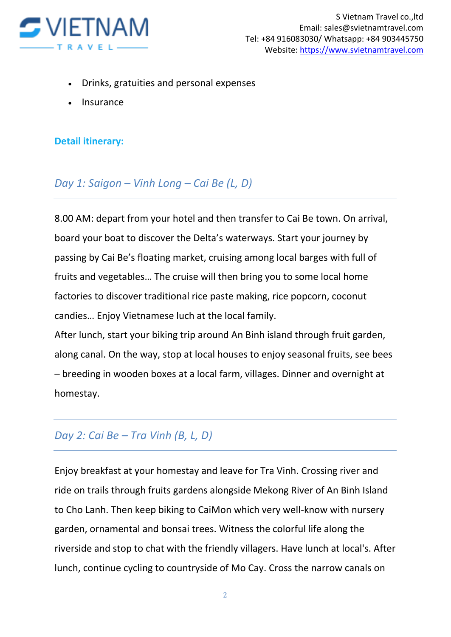

- Drinks, gratuities and personal expenses
- Insurance

#### **Detail itinerary:**

### *Day 1: Saigon – Vinh Long – Cai Be (L, D)*

8.00 AM: depart from your hotel and then transfer to Cai Be town. On arrival, board your boat to discover the Delta's waterways. Start your journey by passing by Cai Be's floating market, cruising among local barges with full of fruits and vegetables… The cruise will then bring you to some local home factories to discover traditional rice paste making, rice popcorn, coconut candies… Enjoy Vietnamese luch at the local family.

After lunch, start your biking trip around An Binh island through fruit garden, along canal. On the way, stop at local houses to enjoy seasonal fruits, see bees – breeding in wooden boxes at a local farm, villages. Dinner and overnight at homestay.

## *Day 2: Cai Be – Tra Vinh (B, L, D)*

Enjoy breakfast at your homestay and leave for Tra Vinh. Crossing river and ride on trails through fruits gardens alongside Mekong River of An Binh Island to Cho Lanh. Then keep biking to CaiMon which very well-know with nursery garden, ornamental and bonsai trees. Witness the colorful life along the riverside and stop to chat with the friendly villagers. Have lunch at local's. After lunch, continue cycling to countryside of Mo Cay. Cross the narrow canals on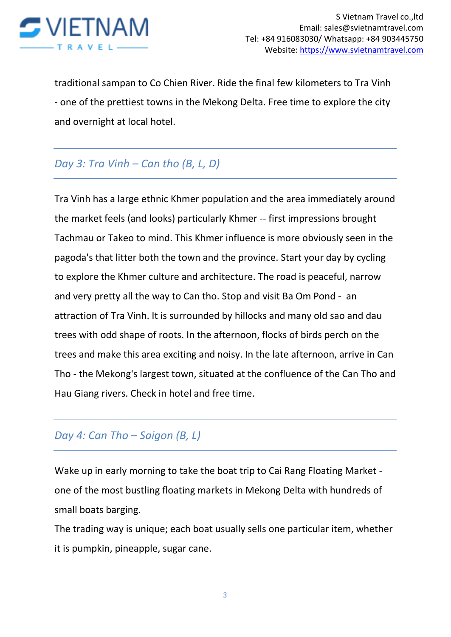

traditional sampan to Co Chien River. Ride the final few kilometers to Tra Vinh - one of the prettiest towns in the Mekong Delta. Free time to explore the city and overnight at local hotel.

## *Day 3: Tra Vinh – Can tho (B, L, D)*

Tra Vinh has a large ethnic Khmer population and the area immediately around the market feels (and looks) particularly Khmer -- first impressions brought Tachmau or Takeo to mind. This Khmer influence is more obviously seen in the pagoda's that litter both the town and the province. Start your day by cycling to explore the Khmer culture and architecture. The road is peaceful, narrow and very pretty all the way to Can tho. Stop and visit Ba Om Pond - an attraction of Tra Vinh. It is surrounded by hillocks and many old sao and dau trees with odd shape of roots. In the afternoon, flocks of birds perch on the trees and make this area exciting and noisy. In the late afternoon, arrive in Can Tho - the Mekong's largest town, situated at the confluence of the Can Tho and Hau Giang rivers. Check in hotel and free time.

## *Day 4: Can Tho – Saigon (B, L)*

Wake up in early morning to take the boat trip to Cai Rang Floating Market one of the most bustling floating markets in Mekong Delta with hundreds of small boats barging.

The trading way is unique; each boat usually sells one particular item, whether it is pumpkin, pineapple, sugar cane.